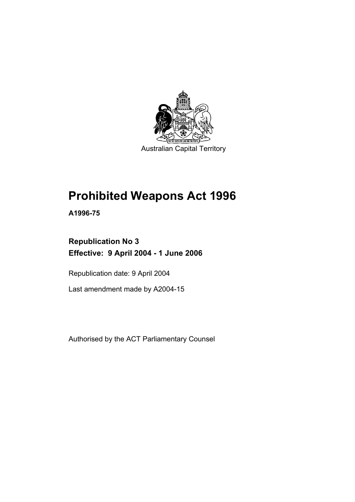

# **Prohibited Weapons Act 1996**

**A1996-75** 

# **Republication No 3 Effective: 9 April 2004 - 1 June 2006**

Republication date: 9 April 2004

Last amendment made by A2004-15

Authorised by the ACT Parliamentary Counsel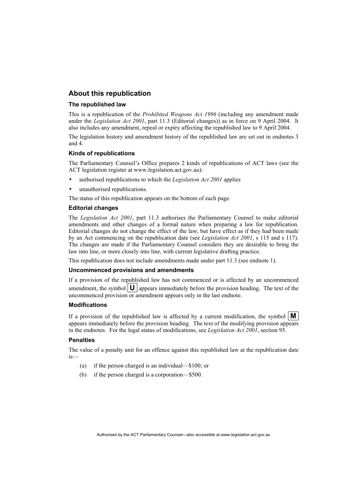#### **About this republication**

#### **The republished law**

This is a republication of the *Prohibited Weapons Act 1996* (including any amendment made under the *Legislation Act 2001*, part 11.3 (Editorial changes)) as in force on 9 April 2004*.* It also includes any amendment, repeal or expiry affecting the republished law to 9 April 2004.

The legislation history and amendment history of the republished law are set out in endnotes 3 and 4.

#### **Kinds of republications**

The Parliamentary Counsel's Office prepares 2 kinds of republications of ACT laws (see the ACT legislation register at www.legislation.act.gov.au):

- authorised republications to which the *Legislation Act 2001* applies
- unauthorised republications.

The status of this republication appears on the bottom of each page.

#### **Editorial changes**

The *Legislation Act 2001*, part 11.3 authorises the Parliamentary Counsel to make editorial amendments and other changes of a formal nature when preparing a law for republication. Editorial changes do not change the effect of the law, but have effect as if they had been made by an Act commencing on the republication date (see *Legislation Act 2001*, s 115 and s 117). The changes are made if the Parliamentary Counsel considers they are desirable to bring the law into line, or more closely into line, with current legislative drafting practice.

This republication does not include amendments made under part 11.3 (see endnote 1).

#### **Uncommenced provisions and amendments**

If a provision of the republished law has not commenced or is affected by an uncommenced amendment, the symbol  $\vert \mathbf{U} \vert$  appears immediately before the provision heading. The text of the uncommenced provision or amendment appears only in the last endnote.

#### **Modifications**

If a provision of the republished law is affected by a current modification, the symbol  $\mathbf{M}$ appears immediately before the provision heading. The text of the modifying provision appears in the endnotes. For the legal status of modifications, see *Legislation Act 2001*, section 95.

#### **Penalties**

The value of a penalty unit for an offence against this republished law at the republication date is—

- (a) if the person charged is an individual—\$100; or
- (b) if the person charged is a corporation—\$500.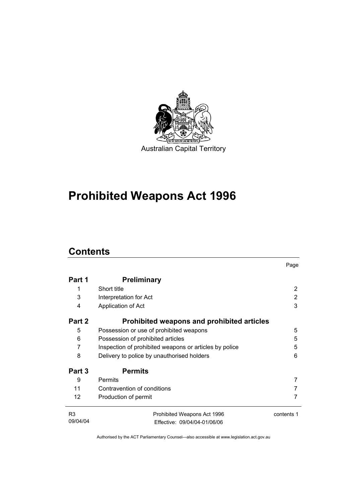

# **Prohibited Weapons Act 1996**

# **Contents**

|                   |                                                        | Page       |  |
|-------------------|--------------------------------------------------------|------------|--|
| Part 1            | <b>Preliminary</b>                                     |            |  |
| 1                 | Short title                                            | 2          |  |
| 3                 | Interpretation for Act                                 | 2          |  |
| 4                 | Application of Act                                     | 3          |  |
| Part 2            | Prohibited weapons and prohibited articles             |            |  |
| 5                 | Possession or use of prohibited weapons                | 5          |  |
| 6                 | Possession of prohibited articles                      |            |  |
| 7                 | Inspection of prohibited weapons or articles by police |            |  |
| 8                 | Delivery to police by unauthorised holders             |            |  |
| Part 3            | <b>Permits</b>                                         |            |  |
| 9                 | <b>Permits</b>                                         | 7          |  |
| 11                | Contravention of conditions                            |            |  |
| $12 \overline{ }$ | Production of permit                                   | 7          |  |
| R <sub>3</sub>    | Prohibited Weapons Act 1996                            | contents 1 |  |
| 09/04/04          | Effective: 09/04/04-01/06/06                           |            |  |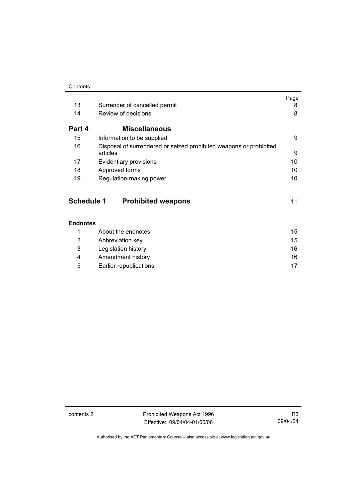|        |                                                                    | Page |
|--------|--------------------------------------------------------------------|------|
| 13     | Surrender of cancelled permit                                      | 8    |
| 14     | Review of decisions                                                | 8    |
| Part 4 | <b>Miscellaneous</b>                                               |      |
| 15     | Information to be supplied                                         | 9    |
| 16     | Disposal of surrendered or seized prohibited weapons or prohibited |      |
|        | articles                                                           | 9    |
| 17     | Evidentiary provisions                                             | 10   |
| 18     | Approved forms                                                     | 10   |
| 19     | Regulation-making power                                            | 10   |

| <b>Schedule 1</b> | <b>Prohibited weapons</b> |  |
|-------------------|---------------------------|--|
|-------------------|---------------------------|--|

|   | About the endnotes     | 15 |
|---|------------------------|----|
| 2 | Abbreviation key       | 15 |
| 3 | Legislation history    | 16 |
| 4 | Amendment history      | 16 |
| 5 | Earlier republications | 17 |

contents 2 **Prohibited Weapons Act 1996** Effective: 09/04/04-01/06/06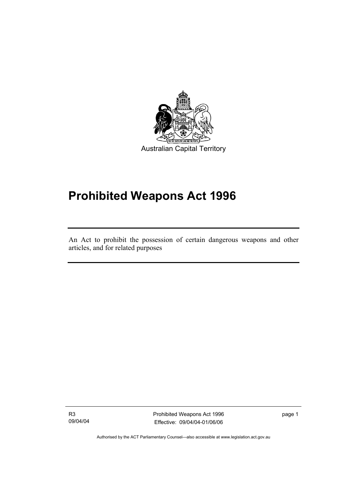

# **Prohibited Weapons Act 1996**

An Act to prohibit the possession of certain dangerous weapons and other articles, and for related purposes

R3 09/04/04

I

Prohibited Weapons Act 1996 Effective: 09/04/04-01/06/06

page 1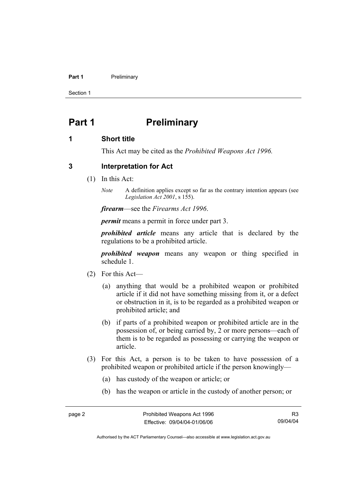#### **Part 1** Preliminary

Section 1

### **Part 1** Preliminary

#### **1 Short title**

This Act may be cited as the *Prohibited Weapons Act 1996.*

#### **3 Interpretation for Act**

- (1) In this Act:
	- *Note* A definition applies except so far as the contrary intention appears (see *Legislation Act 2001*, s 155).

*firearm*—see the *Firearms Act 1996*.

*permit* means a permit in force under part 3.

*prohibited article* means any article that is declared by the regulations to be a prohibited article.

*prohibited weapon* means any weapon or thing specified in schedule 1.

- (2) For this Act—
	- (a) anything that would be a prohibited weapon or prohibited article if it did not have something missing from it, or a defect or obstruction in it, is to be regarded as a prohibited weapon or prohibited article; and
	- (b) if parts of a prohibited weapon or prohibited article are in the possession of, or being carried by, 2 or more persons—each of them is to be regarded as possessing or carrying the weapon or article.
- (3) For this Act, a person is to be taken to have possession of a prohibited weapon or prohibited article if the person knowingly—
	- (a) has custody of the weapon or article; or
	- (b) has the weapon or article in the custody of another person; or

R3 09/04/04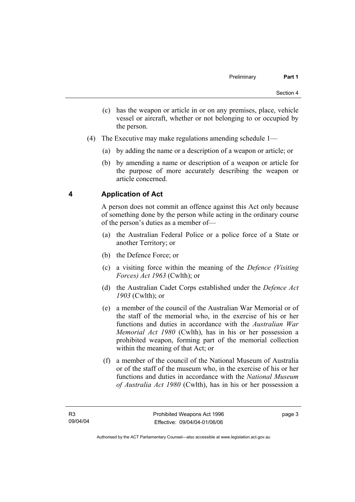- (c) has the weapon or article in or on any premises, place, vehicle vessel or aircraft, whether or not belonging to or occupied by the person.
- (4) The Executive may make regulations amending schedule 1—
	- (a) by adding the name or a description of a weapon or article; or
	- (b) by amending a name or description of a weapon or article for the purpose of more accurately describing the weapon or article concerned.

### **4 Application of Act**

A person does not commit an offence against this Act only because of something done by the person while acting in the ordinary course of the person's duties as a member of—

- (a) the Australian Federal Police or a police force of a State or another Territory; or
- (b) the Defence Force; or
- (c) a visiting force within the meaning of the *Defence (Visiting Forces) Act 1963* (Cwlth); or
- (d) the Australian Cadet Corps established under the *Defence Act 1903* (Cwlth); or
- (e) a member of the council of the Australian War Memorial or of the staff of the memorial who, in the exercise of his or her functions and duties in accordance with the *Australian War Memorial Act 1980* (Cwlth), has in his or her possession a prohibited weapon, forming part of the memorial collection within the meaning of that Act; or
- (f) a member of the council of the National Museum of Australia or of the staff of the museum who, in the exercise of his or her functions and duties in accordance with the *National Museum of Australia Act 1980* (Cwlth), has in his or her possession a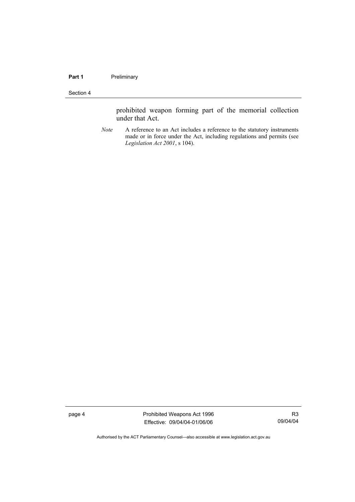#### Part 1 **Preliminary**

#### Section 4

prohibited weapon forming part of the memorial collection under that Act.

*Note* A reference to an Act includes a reference to the statutory instruments made or in force under the Act, including regulations and permits (see *Legislation Act 2001*, s 104).

page 4 **Prohibited Weapons Act 1996** Effective: 09/04/04-01/06/06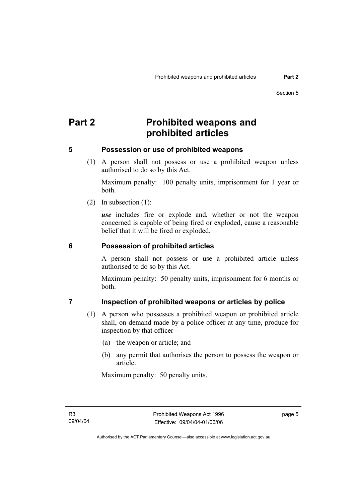# **Part 2 Prohibited weapons and prohibited articles**

#### **5 Possession or use of prohibited weapons**

 (1) A person shall not possess or use a prohibited weapon unless authorised to do so by this Act.

Maximum penalty: 100 penalty units, imprisonment for 1 year or both.

(2) In subsection (1):

*use* includes fire or explode and, whether or not the weapon concerned is capable of being fired or exploded, cause a reasonable belief that it will be fired or exploded.

#### **6 Possession of prohibited articles**

A person shall not possess or use a prohibited article unless authorised to do so by this Act.

Maximum penalty: 50 penalty units, imprisonment for 6 months or both.

#### **7 Inspection of prohibited weapons or articles by police**

- (1) A person who possesses a prohibited weapon or prohibited article shall, on demand made by a police officer at any time, produce for inspection by that officer—
	- (a) the weapon or article; and
	- (b) any permit that authorises the person to possess the weapon or article.

Maximum penalty: 50 penalty units.

page 5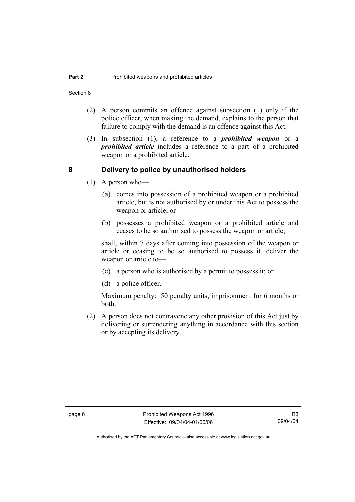Section 8

- (2) A person commits an offence against subsection (1) only if the police officer, when making the demand, explains to the person that failure to comply with the demand is an offence against this Act.
- (3) In subsection (1), a reference to a *prohibited weapon* or a *prohibited article* includes a reference to a part of a prohibited weapon or a prohibited article.

#### **8 Delivery to police by unauthorised holders**

- (1) A person who—
	- (a) comes into possession of a prohibited weapon or a prohibited article, but is not authorised by or under this Act to possess the weapon or article; or
	- (b) possesses a prohibited weapon or a prohibited article and ceases to be so authorised to possess the weapon or article;

shall, within 7 days after coming into possession of the weapon or article or ceasing to be so authorised to possess it, deliver the weapon or article to—

- (c) a person who is authorised by a permit to possess it; or
- (d) a police officer.

Maximum penalty: 50 penalty units, imprisonment for 6 months or both.

 (2) A person does not contravene any other provision of this Act just by delivering or surrendering anything in accordance with this section or by accepting its delivery.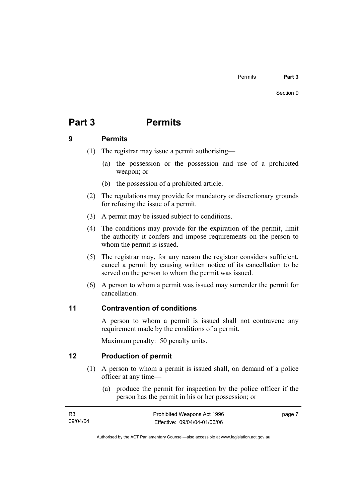# **Part 3 Permits**

#### **9 Permits**

- (1) The registrar may issue a permit authorising—
	- (a) the possession or the possession and use of a prohibited weapon; or
	- (b) the possession of a prohibited article.
- (2) The regulations may provide for mandatory or discretionary grounds for refusing the issue of a permit.
- (3) A permit may be issued subject to conditions.
- (4) The conditions may provide for the expiration of the permit, limit the authority it confers and impose requirements on the person to whom the permit is issued.
- (5) The registrar may, for any reason the registrar considers sufficient, cancel a permit by causing written notice of its cancellation to be served on the person to whom the permit was issued.
- (6) A person to whom a permit was issued may surrender the permit for cancellation.

#### **11 Contravention of conditions**

A person to whom a permit is issued shall not contravene any requirement made by the conditions of a permit.

Maximum penalty: 50 penalty units.

#### **12 Production of permit**

- (1) A person to whom a permit is issued shall, on demand of a police officer at any time—
	- (a) produce the permit for inspection by the police officer if the person has the permit in his or her possession; or

| <b>R3</b> | Prohibited Weapons Act 1996  | page 7 |
|-----------|------------------------------|--------|
| 09/04/04  | Effective: 09/04/04-01/06/06 |        |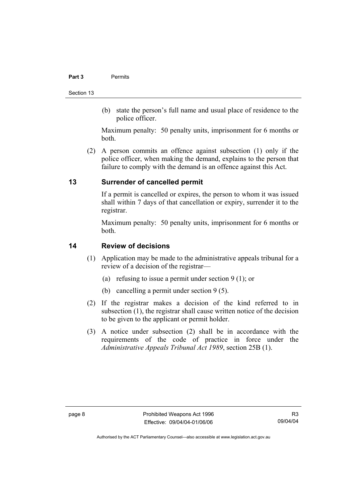#### **Part 3** Permits

Section 13

 (b) state the person's full name and usual place of residence to the police officer.

Maximum penalty: 50 penalty units, imprisonment for 6 months or both.

 (2) A person commits an offence against subsection (1) only if the police officer, when making the demand, explains to the person that failure to comply with the demand is an offence against this Act.

#### **13 Surrender of cancelled permit**

If a permit is cancelled or expires, the person to whom it was issued shall within 7 days of that cancellation or expiry, surrender it to the registrar.

Maximum penalty: 50 penalty units, imprisonment for 6 months or both.

#### **14 Review of decisions**

- (1) Application may be made to the administrative appeals tribunal for a review of a decision of the registrar—
	- (a) refusing to issue a permit under section 9 (1); or
	- (b) cancelling a permit under section 9 (5).
- (2) If the registrar makes a decision of the kind referred to in subsection (1), the registrar shall cause written notice of the decision to be given to the applicant or permit holder.
- (3) A notice under subsection (2) shall be in accordance with the requirements of the code of practice in force under the *Administrative Appeals Tribunal Act 1989*, section 25B (1).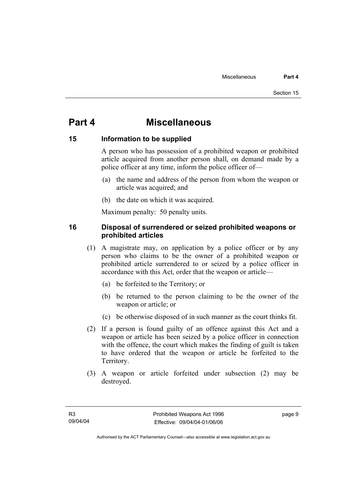# **Part 4 Miscellaneous**

#### **15 Information to be supplied**

A person who has possession of a prohibited weapon or prohibited article acquired from another person shall, on demand made by a police officer at any time, inform the police officer of—

- (a) the name and address of the person from whom the weapon or article was acquired; and
- (b) the date on which it was acquired.

Maximum penalty: 50 penalty units.

#### **16 Disposal of surrendered or seized prohibited weapons or prohibited articles**

- (1) A magistrate may, on application by a police officer or by any person who claims to be the owner of a prohibited weapon or prohibited article surrendered to or seized by a police officer in accordance with this Act, order that the weapon or article—
	- (a) be forfeited to the Territory; or
	- (b) be returned to the person claiming to be the owner of the weapon or article; or
	- (c) be otherwise disposed of in such manner as the court thinks fit.
- (2) If a person is found guilty of an offence against this Act and a weapon or article has been seized by a police officer in connection with the offence, the court which makes the finding of guilt is taken to have ordered that the weapon or article be forfeited to the Territory.
- (3) A weapon or article forfeited under subsection (2) may be destroyed.

page 9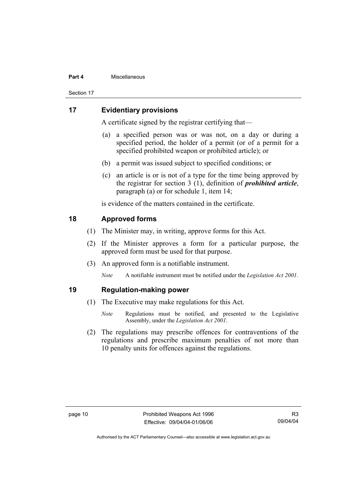#### **Part 4** Miscellaneous

Section 17

#### **17 Evidentiary provisions**

A certificate signed by the registrar certifying that—

- (a) a specified person was or was not, on a day or during a specified period, the holder of a permit (or of a permit for a specified prohibited weapon or prohibited article); or
- (b) a permit was issued subject to specified conditions; or
- (c) an article is or is not of a type for the time being approved by the registrar for section 3 (1), definition of *prohibited article*, paragraph (a) or for schedule 1, item 14;

is evidence of the matters contained in the certificate.

#### **18 Approved forms**

- (1) The Minister may, in writing, approve forms for this Act.
- (2) If the Minister approves a form for a particular purpose, the approved form must be used for that purpose.
- (3) An approved form is a notifiable instrument.

*Note* A notifiable instrument must be notified under the *Legislation Act 2001*.

#### **19 Regulation-making power**

- (1) The Executive may make regulations for this Act.
	- *Note* Regulations must be notified, and presented to the Legislative Assembly, under the *Legislation Act 2001*.
- (2) The regulations may prescribe offences for contraventions of the regulations and prescribe maximum penalties of not more than 10 penalty units for offences against the regulations.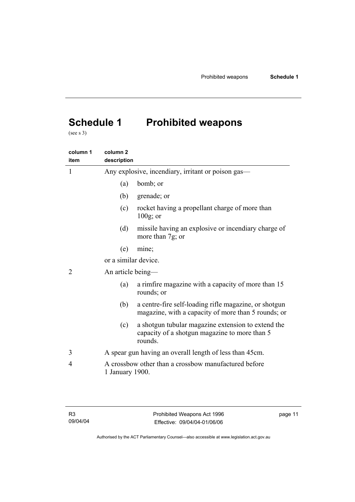# **Schedule 1 Prohibited weapons**

(see s 3)

| column 1<br>item | column <sub>2</sub><br>description                 |                                                                                                                |  |
|------------------|----------------------------------------------------|----------------------------------------------------------------------------------------------------------------|--|
| 1                | Any explosive, incendiary, irritant or poison gas— |                                                                                                                |  |
|                  | (a)                                                | bomb; or                                                                                                       |  |
|                  | (b)                                                | grenade; or                                                                                                    |  |
|                  | (c)                                                | rocket having a propellant charge of more than<br>$100g$ ; or                                                  |  |
|                  | (d)                                                | missile having an explosive or incendiary charge of<br>more than 7g; or                                        |  |
|                  | (e)                                                | mine;                                                                                                          |  |
|                  | or a similar device.                               |                                                                                                                |  |
| 2                | An article being-                                  |                                                                                                                |  |
|                  | (a)                                                | a rimfire magazine with a capacity of more than 15<br>rounds; or                                               |  |
|                  | (b)                                                | a centre-fire self-loading rifle magazine, or shotgun<br>magazine, with a capacity of more than 5 rounds; or   |  |
|                  | (c)                                                | a shotgun tubular magazine extension to extend the<br>capacity of a shotgun magazine to more than 5<br>rounds. |  |
| 3                |                                                    | A spear gun having an overall length of less than 45cm.                                                        |  |
| 4                |                                                    | A crossbow other than a crossbow manufactured before<br>1 January 1900.                                        |  |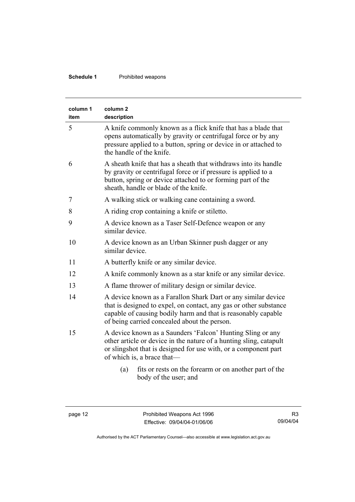#### **Schedule 1** Prohibited weapons

| column 1<br>item | column <sub>2</sub><br>description                                                                                                                                                                                                                  |  |
|------------------|-----------------------------------------------------------------------------------------------------------------------------------------------------------------------------------------------------------------------------------------------------|--|
| 5                | A knife commonly known as a flick knife that has a blade that<br>opens automatically by gravity or centrifugal force or by any<br>pressure applied to a button, spring or device in or attached to<br>the handle of the knife.                      |  |
| 6                | A sheath knife that has a sheath that withdraws into its handle<br>by gravity or centrifugal force or if pressure is applied to a<br>button, spring or device attached to or forming part of the<br>sheath, handle or blade of the knife.           |  |
| 7                | A walking stick or walking cane containing a sword.                                                                                                                                                                                                 |  |
| 8                | A riding crop containing a knife or stiletto.                                                                                                                                                                                                       |  |
| 9                | A device known as a Taser Self-Defence weapon or any<br>similar device                                                                                                                                                                              |  |
| 10               | A device known as an Urban Skinner push dagger or any<br>similar device.                                                                                                                                                                            |  |
| 11               | A butterfly knife or any similar device.                                                                                                                                                                                                            |  |
| 12               | A knife commonly known as a star knife or any similar device.                                                                                                                                                                                       |  |
| 13               | A flame thrower of military design or similar device.                                                                                                                                                                                               |  |
| 14               | A device known as a Farallon Shark Dart or any similar device<br>that is designed to expel, on contact, any gas or other substance<br>capable of causing bodily harm and that is reasonably capable<br>of being carried concealed about the person. |  |
| 15               | A device known as a Saunders 'Falcon' Hunting Sling or any<br>other article or device in the nature of a hunting sling, catapult<br>or slingshot that is designed for use with, or a component part<br>of which is, a brace that—                   |  |
|                  | fits or rests on the forearm or on another part of the<br>(a)<br>body of the user; and                                                                                                                                                              |  |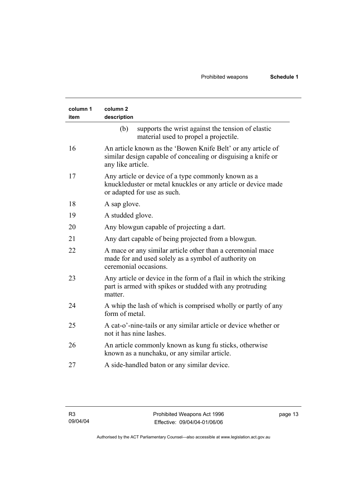| column 1<br>item | column <sub>2</sub><br>description                                                                                                                  |  |
|------------------|-----------------------------------------------------------------------------------------------------------------------------------------------------|--|
|                  | supports the wrist against the tension of elastic<br>(b)<br>material used to propel a projectile.                                                   |  |
| 16               | An article known as the 'Bowen Knife Belt' or any article of<br>similar design capable of concealing or disguising a knife or<br>any like article.  |  |
| 17               | Any article or device of a type commonly known as a<br>knuckleduster or metal knuckles or any article or device made<br>or adapted for use as such. |  |
| 18               | A sap glove.                                                                                                                                        |  |
| 19               | A studded glove.                                                                                                                                    |  |
| 20               | Any blowgun capable of projecting a dart.                                                                                                           |  |
| 21               | Any dart capable of being projected from a blowgun.                                                                                                 |  |
| 22               | A mace or any similar article other than a ceremonial mace<br>made for and used solely as a symbol of authority on<br>ceremonial occasions.         |  |
| 23               | Any article or device in the form of a flail in which the striking<br>part is armed with spikes or studded with any protruding<br>matter.           |  |
| 24               | A whip the lash of which is comprised wholly or partly of any<br>form of metal.                                                                     |  |
| 25               | A cat-o'-nine-tails or any similar article or device whether or<br>not it has nine lashes.                                                          |  |
| 26               | An article commonly known as kung fu sticks, otherwise<br>known as a nunchaku, or any similar article.                                              |  |
| 27               | A side-handled baton or any similar device.                                                                                                         |  |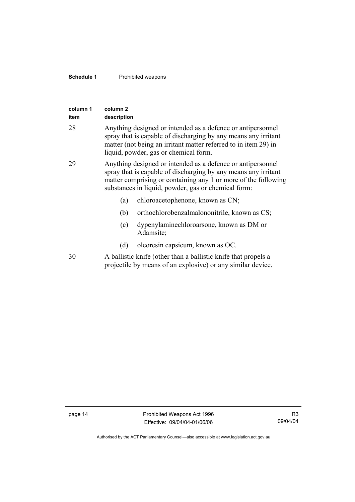#### **Schedule 1** Prohibited weapons

| column 1<br>item | column <sub>2</sub><br>description                                                                                                                                                                                                                     |                                                       |
|------------------|--------------------------------------------------------------------------------------------------------------------------------------------------------------------------------------------------------------------------------------------------------|-------------------------------------------------------|
| 28               | Anything designed or intended as a defence or antipersonnel<br>spray that is capable of discharging by any means any irritant<br>matter (not being an irritant matter referred to in item 29) in<br>liquid, powder, gas or chemical form.              |                                                       |
| 29               | Anything designed or intended as a defence or antipersonnel<br>spray that is capable of discharging by any means any irritant<br>matter comprising or containing any 1 or more of the following<br>substances in liquid, powder, gas or chemical form: |                                                       |
|                  | (a)                                                                                                                                                                                                                                                    | chloroacetophenone, known as CN;                      |
|                  | (b)                                                                                                                                                                                                                                                    | orthochlorobenzalmalononitrile, known as CS;          |
|                  | (c)                                                                                                                                                                                                                                                    | dypenylaminechloroarsone, known as DM or<br>Adamsite; |
|                  | (d)                                                                                                                                                                                                                                                    | oleoresin capsicum, known as OC.                      |
| 30               | A ballistic knife (other than a ballistic knife that propels a<br>projectile by means of an explosive) or any similar device.                                                                                                                          |                                                       |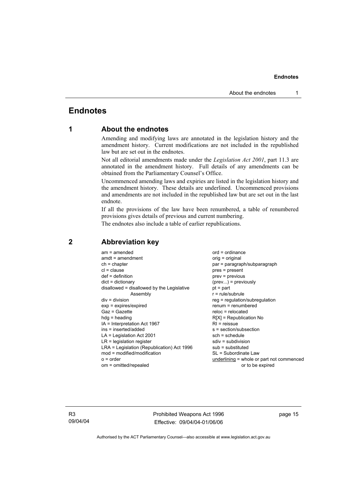### **Endnotes**

#### **1 About the endnotes**

Amending and modifying laws are annotated in the legislation history and the amendment history. Current modifications are not included in the republished law but are set out in the endnotes.

Not all editorial amendments made under the *Legislation Act 2001*, part 11.3 are annotated in the amendment history. Full details of any amendments can be obtained from the Parliamentary Counsel's Office.

Uncommenced amending laws and expiries are listed in the legislation history and the amendment history. These details are underlined. Uncommenced provisions and amendments are not included in the republished law but are set out in the last endnote.

If all the provisions of the law have been renumbered, a table of renumbered provisions gives details of previous and current numbering.

The endnotes also include a table of earlier republications.

| $ord = ordinance$<br>$am = amended$<br>$amdt = amendment$<br>$ch = chapter$<br>$cl = clause$<br>$def = definition$<br>$dict = dictionary$<br>disallowed = disallowed by the Legislative<br>Assembly<br>$div = division$<br>$exp = expires/expired$<br>$Gaz = Gazette$<br>$hdg = heading$<br>IA = Interpretation Act 1967<br>ins = inserted/added<br>$LA =$ Legislation Act 2001<br>$LR =$ legislation register<br>LRA = Legislation (Republication) Act 1996<br>$mod = modified/modification$<br>$o = order$ | orig = original<br>par = paragraph/subparagraph<br>$pres = present$<br>$prev = previous$<br>$(\text{prev}) = \text{previously}$<br>$pt = part$<br>$r = rule/subrule$<br>reg = regulation/subregulation<br>$renum = renumbered$<br>$reloc = relocated$<br>$R[X]$ = Republication No<br>$RI = reissue$<br>s = section/subsection<br>$sch = schedule$<br>$sdiv = subdivision$<br>$sub =$ substituted<br>SL = Subordinate Law<br>underlining = whole or part not commenced |
|--------------------------------------------------------------------------------------------------------------------------------------------------------------------------------------------------------------------------------------------------------------------------------------------------------------------------------------------------------------------------------------------------------------------------------------------------------------------------------------------------------------|------------------------------------------------------------------------------------------------------------------------------------------------------------------------------------------------------------------------------------------------------------------------------------------------------------------------------------------------------------------------------------------------------------------------------------------------------------------------|
| om = omitted/repealed                                                                                                                                                                                                                                                                                                                                                                                                                                                                                        | or to be expired                                                                                                                                                                                                                                                                                                                                                                                                                                                       |

#### **2 Abbreviation key**

R3 09/04/04 Prohibited Weapons Act 1996 Effective: 09/04/04-01/06/06

page 15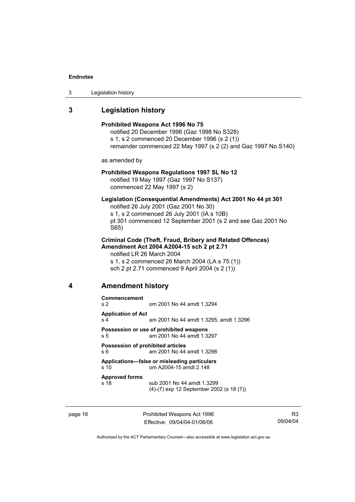| 3 | Legislation history |
|---|---------------------|
|---|---------------------|

# **3 Legislation history**

|   |                                                                                                                                                                                                                                                 | Prohibited Weapons Act 1996 No 75<br>notified 20 December 1996 (Gaz 1998 No S328)<br>s 1, s 2 commenced 20 December 1996 (s 2 (1))<br>remainder commenced 22 May 1997 (s 2 (2) and Gaz 1997 No S140)                |  |  |
|---|-------------------------------------------------------------------------------------------------------------------------------------------------------------------------------------------------------------------------------------------------|---------------------------------------------------------------------------------------------------------------------------------------------------------------------------------------------------------------------|--|--|
|   | as amended by                                                                                                                                                                                                                                   |                                                                                                                                                                                                                     |  |  |
|   | Prohibited Weapons Regulations 1997 SL No 12<br>notified 19 May 1997 (Gaz 1997 No S137)<br>commenced 22 May 1997 (s 2)                                                                                                                          |                                                                                                                                                                                                                     |  |  |
|   | S65)                                                                                                                                                                                                                                            | Legislation (Consequential Amendments) Act 2001 No 44 pt 301<br>notified 26 July 2001 (Gaz 2001 No 30)<br>s 1, s 2 commenced 26 July 2001 (IA s 10B)<br>pt 301 commenced 12 September 2001 (s 2 and see Gaz 2001 No |  |  |
|   | <b>Criminal Code (Theft, Fraud, Bribery and Related Offences)</b><br>Amendment Act 2004 A2004-15 sch 2 pt 2.71<br>notified LR 26 March 2004<br>s 1, s 2 commenced 26 March 2004 (LA s 75 (1))<br>sch 2 pt 2.71 commenced 9 April 2004 (s 2 (1)) |                                                                                                                                                                                                                     |  |  |
| 4 | <b>Amendment history</b>                                                                                                                                                                                                                        |                                                                                                                                                                                                                     |  |  |
|   | Commencement<br>s 2                                                                                                                                                                                                                             | om 2001 No 44 amdt 1.3294                                                                                                                                                                                           |  |  |
|   | <b>Application of Act</b><br>s <sub>4</sub>                                                                                                                                                                                                     | am 2001 No 44 amdt 1.3295, amdt 1.3296                                                                                                                                                                              |  |  |
|   | s 5                                                                                                                                                                                                                                             | Possession or use of prohibited weapons<br>am 2001 No 44 amdt 1.3297                                                                                                                                                |  |  |
|   | Possession of prohibited articles<br>s 6                                                                                                                                                                                                        | am 2001 No 44 amdt 1.3298                                                                                                                                                                                           |  |  |
|   | s 10                                                                                                                                                                                                                                            | Applications-false or misleading particulars<br>om A2004-15 amdt 2.148                                                                                                                                              |  |  |
|   | <b>Approved forms</b><br>s 18                                                                                                                                                                                                                   | sub 2001 No 44 amdt 1.3299<br>(4)-(7) exp 12 September 2002 (s 18 (7))                                                                                                                                              |  |  |
|   |                                                                                                                                                                                                                                                 |                                                                                                                                                                                                                     |  |  |

page 16 **Prohibited Weapons Act 1996** Effective: 09/04/04-01/06/06

R3 09/04/04